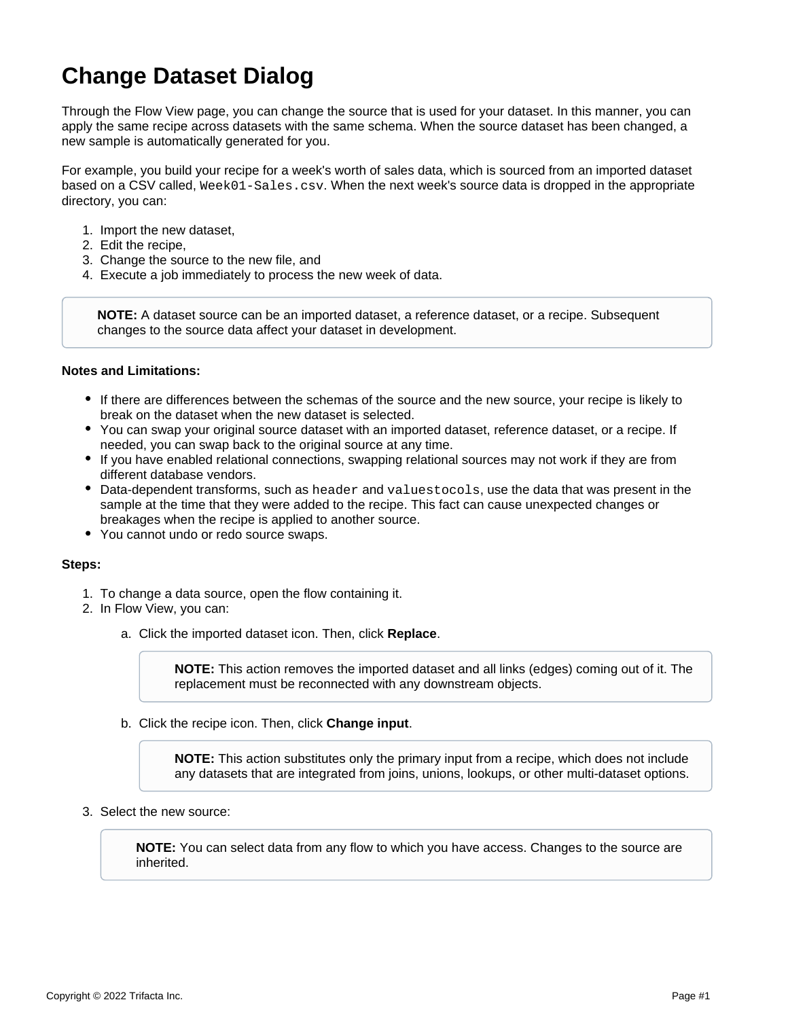## **Change Dataset Dialog**

Through the Flow View page, you can change the source that is used for your dataset. In this manner, you can apply the same recipe across datasets with the same schema. When the source dataset has been changed, a new sample is automatically generated for you.

For example, you build your recipe for a week's worth of sales data, which is sourced from an imported dataset based on a CSV called, Week01-Sales.csv. When the next week's source data is dropped in the appropriate directory, you can:

- 1. Import the new dataset,
- 2. Edit the recipe,
- 3. Change the source to the new file, and
- 4. Execute a job immediately to process the new week of data.

**NOTE:** A dataset source can be an imported dataset, a reference dataset, or a recipe. Subsequent changes to the source data affect your dataset in development.

## **Notes and Limitations:**

- If there are differences between the schemas of the source and the new source, your recipe is likely to break on the dataset when the new dataset is selected.
- You can swap your original source dataset with an imported dataset, reference dataset, or a recipe. If needed, you can swap back to the original source at any time.
- If you have enabled relational connections, swapping relational sources may not work if they are from different database vendors.
- Data-dependent transforms, such as header and valuestocols, use the data that was present in the sample at the time that they were added to the recipe. This fact can cause unexpected changes or breakages when the recipe is applied to another source.
- You cannot undo or redo source swaps.

## **Steps:**

- 1. To change a data source, open the flow containing it.
- 2. In Flow View, you can:
	- a. Click the imported dataset icon. Then, click **Replace**.

**NOTE:** This action removes the imported dataset and all links (edges) coming out of it. The replacement must be reconnected with any downstream objects.

b. Click the recipe icon. Then, click **Change input**.

**NOTE:** This action substitutes only the primary input from a recipe, which does not include any datasets that are integrated from joins, unions, lookups, or other multi-dataset options.

3. Select the new source:

**NOTE:** You can select data from any flow to which you have access. Changes to the source are inherited.